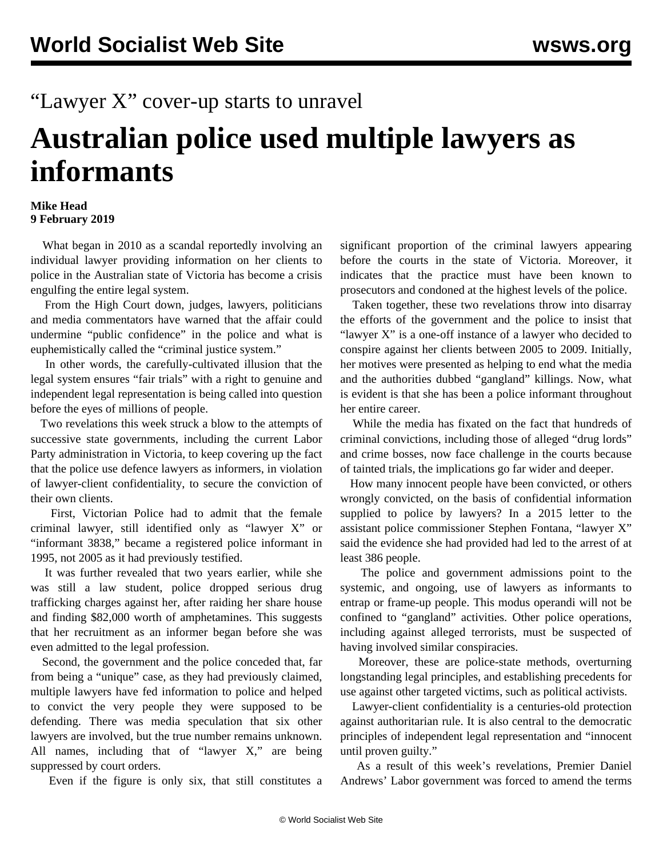## "Lawyer X" cover-up starts to unravel

## **Australian police used multiple lawyers as informants**

## **Mike Head 9 February 2019**

 What began in 2010 as a scandal reportedly involving an individual lawyer providing information on her clients to police in the Australian state of Victoria has become a crisis engulfing the entire legal system.

 From the High Court down, judges, lawyers, politicians and media commentators have warned that the affair could undermine "public confidence" in the police and what is euphemistically called the "criminal justice system."

 In other words, the carefully-cultivated illusion that the legal system ensures "fair trials" with a right to genuine and independent legal representation is being called into question before the eyes of millions of people.

 Two revelations this week struck a blow to the attempts of successive state governments, including the current Labor Party administration in Victoria, to keep covering up the fact that the police use defence lawyers as informers, in violation of lawyer-client confidentiality, to secure the conviction of their own clients.

 First, Victorian Police had to admit that the female criminal lawyer, still identified only as "lawyer X" or "informant 3838," became a registered police informant in 1995, not 2005 as it had previously testified.

 It was further revealed that two years earlier, while she was still a law student, police dropped serious drug trafficking charges against her, after raiding her share house and finding \$82,000 worth of amphetamines. This suggests that her recruitment as an informer began before she was even admitted to the legal profession.

 Second, the government and the police conceded that, far from being a "unique" case, as they had previously claimed, multiple lawyers have fed information to police and helped to convict the very people they were supposed to be defending. There was media speculation that six other lawyers are involved, but the true number remains unknown. All names, including that of "lawyer X," are being suppressed by court orders.

Even if the figure is only six, that still constitutes a

significant proportion of the criminal lawyers appearing before the courts in the state of Victoria. Moreover, it indicates that the practice must have been known to prosecutors and condoned at the highest levels of the police.

 Taken together, these two revelations throw into disarray the efforts of the government and the police to insist that "lawyer X" is a one-off instance of a lawyer who decided to conspire against her clients between 2005 to 2009. Initially, her motives were presented as helping to end what the media and the authorities dubbed "gangland" killings. Now, what is evident is that she has been a police informant throughout her entire career.

 While the media has fixated on the fact that hundreds of criminal convictions, including those of alleged "drug lords" and crime bosses, now face challenge in the courts because of tainted trials, the implications go far wider and deeper.

 How many innocent people have been convicted, or others wrongly convicted, on the basis of confidential information supplied to police by lawyers? In a 2015 letter to the assistant police commissioner Stephen Fontana, "lawyer X" said the evidence she had provided had led to the arrest of at least 386 people.

 The police and government admissions point to the systemic, and ongoing, use of lawyers as informants to entrap or frame-up people. This modus operandi will not be confined to "gangland" activities. Other police operations, including against alleged terrorists, must be suspected of having involved similar conspiracies.

 Moreover, these are police-state methods, overturning longstanding legal principles, and establishing precedents for use against other targeted victims, such as political activists.

 Lawyer-client confidentiality is a centuries-old protection against authoritarian rule. It is also central to the democratic principles of independent legal representation and "innocent until proven guilty."

 As a result of this week's revelations, Premier Daniel Andrews' Labor government was forced to amend the terms